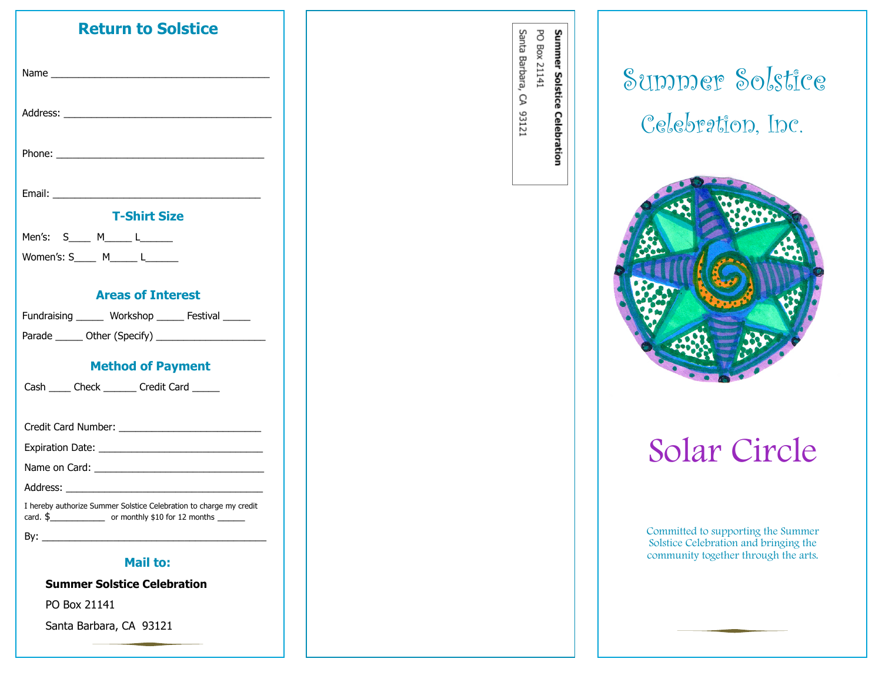| <b>Return to Solstice</b>                                                                                                                                                                                                      |
|--------------------------------------------------------------------------------------------------------------------------------------------------------------------------------------------------------------------------------|
| Name and the contract of the contract of the contract of the contract of the contract of the contract of the contract of the contract of the contract of the contract of the contract of the contract of the contract of the c |
|                                                                                                                                                                                                                                |
|                                                                                                                                                                                                                                |
|                                                                                                                                                                                                                                |
| <b>T-Shirt Size</b>                                                                                                                                                                                                            |
| Men's: S____ M_____ L______                                                                                                                                                                                                    |
| Women's: S M L                                                                                                                                                                                                                 |
|                                                                                                                                                                                                                                |
| <b>Areas of Interest</b>                                                                                                                                                                                                       |
| Fundraising _______ Workshop ______ Festival ______                                                                                                                                                                            |
|                                                                                                                                                                                                                                |
| <b>Method of Payment</b>                                                                                                                                                                                                       |
| Cash ______ Check ________ Credit Card ______                                                                                                                                                                                  |
|                                                                                                                                                                                                                                |
|                                                                                                                                                                                                                                |
|                                                                                                                                                                                                                                |
|                                                                                                                                                                                                                                |
|                                                                                                                                                                                                                                |
| I hereby authorize Summer Solstice Celebration to charge my credit                                                                                                                                                             |
|                                                                                                                                                                                                                                |
| <b>Mail to:</b>                                                                                                                                                                                                                |

**Summer Solstice Celebration** 

PO Box 21141

Santa Barbara, CA 93121

Santa Barbara, CA 93121 PO Box 21141 Summer Solstice Celebration

Summer Solstice Celebration, Inc.



# Solar Circle

Committed to supporting the Summer Solstice Celebration and bringing the community together through the arts.